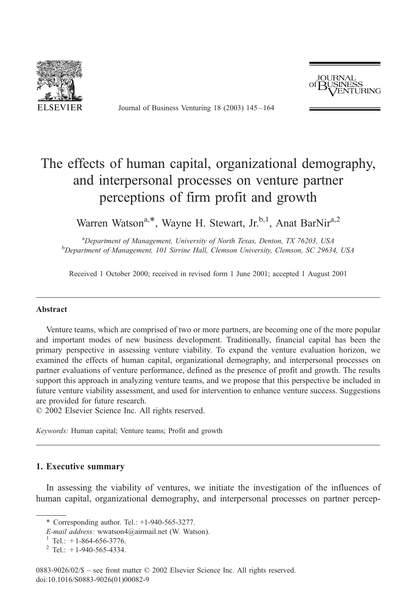

Journal of Business Venturing 18 (2003) 145 – 164



## The effects of human capital, organizational demography, and interpersonal processes on venture partner perceptions of firm profit and growth

Warren Watson<sup>a,\*</sup>, Wayne H. Stewart, Jr.<sup>b,1</sup>, Anat BarNir<sup>a,2</sup>

<sup>a</sup>Department of Management, University of North Texas, Denton, TX 76203, USA<br><sup>b</sup>Department of Management, 101 Sirring Hall, Clemson University Clemson, SC 2063 <sup>b</sup>Department of Management, 101 Sirrine Hall, Clemson University, Clemson, SC 29634, USA

Received 1 October 2000; received in revised form 1 June 2001; accepted 1 August 2001

## Abstract

Venture teams, which are comprised of two or more partners, are becoming one of the more popular and important modes of new business development. Traditionally, financial capital has been the primary perspective in assessing venture viability. To expand the venture evaluation horizon, we examined the effects of human capital, organizational demography, and interpersonal processes on partner evaluations of venture performance, defined as the presence of profit and growth. The results support this approach in analyzing venture teams, and we propose that this perspective be included in future venture viability assessment, and used for intervention to enhance venture success. Suggestions are provided for future research.

 $© 2002 Elsevier Science Inc. All rights reserved.$ 

Keywords: Human capital; Venture teams; Profit and growth

## 1. Executive summary

In assessing the viability of ventures, we initiate the investigation of the influences of human capital, organizational demography, and interpersonal processes on partner percep-

<sup>\*</sup> Corresponding author. Tel.: +1-940-565-3277.

E-mail address: wwatson4@airmail.net (W. Watson).<br><sup>1</sup> Tel.: +1-864-656-3776.<br><sup>2</sup> Tel.: +1-940-565-4334.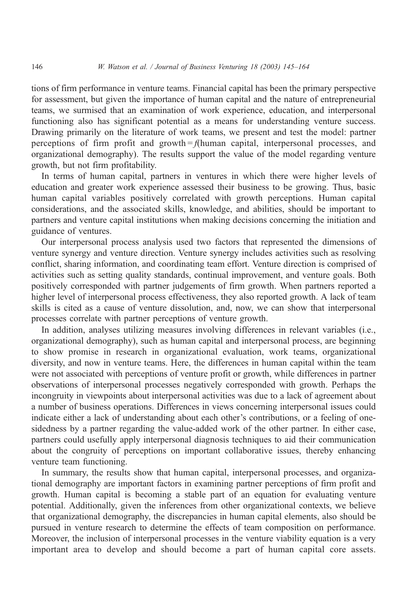tions of firm performance in venture teams. Financial capital has been the primary perspective for assessment, but given the importance of human capital and the nature of entrepreneurial teams, we surmised that an examination of work experience, education, and interpersonal functioning also has significant potential as a means for understanding venture success. Drawing primarily on the literature of work teams, we present and test the model: partner perceptions of firm profit and growth  $=f$ (human capital, interpersonal processes, and organizational demography). The results support the value of the model regarding venture growth, but not firm profitability.

In terms of human capital, partners in ventures in which there were higher levels of education and greater work experience assessed their business to be growing. Thus, basic human capital variables positively correlated with growth perceptions. Human capital considerations, and the associated skills, knowledge, and abilities, should be important to partners and venture capital institutions when making decisions concerning the initiation and guidance of ventures.

Our interpersonal process analysis used two factors that represented the dimensions of venture synergy and venture direction. Venture synergy includes activities such as resolving conflict, sharing information, and coordinating team effort. Venture direction is comprised of activities such as setting quality standards, continual improvement, and venture goals. Both positively corresponded with partner judgements of firm growth. When partners reported a higher level of interpersonal process effectiveness, they also reported growth. A lack of team skills is cited as a cause of venture dissolution, and, now, we can show that interpersonal processes correlate with partner perceptions of venture growth.

In addition, analyses utilizing measures involving differences in relevant variables (i.e., organizational demography), such as human capital and interpersonal process, are beginning to show promise in research in organizational evaluation, work teams, organizational diversity, and now in venture teams. Here, the differences in human capital within the team were not associated with perceptions of venture profit or growth, while differences in partner observations of interpersonal processes negatively corresponded with growth. Perhaps the incongruity in viewpoints about interpersonal activities was due to a lack of agreement about a number of business operations. Differences in views concerning interpersonal issues could indicate either a lack of understanding about each other's contributions, or a feeling of onesidedness by a partner regarding the value-added work of the other partner. In either case, partners could usefully apply interpersonal diagnosis techniques to aid their communication about the congruity of perceptions on important collaborative issues, thereby enhancing venture team functioning.

In summary, the results show that human capital, interpersonal processes, and organizational demography are important factors in examining partner perceptions of firm profit and growth. Human capital is becoming a stable part of an equation for evaluating venture potential. Additionally, given the inferences from other organizational contexts, we believe that organizational demography, the discrepancies in human capital elements, also should be pursued in venture research to determine the effects of team composition on performance. Moreover, the inclusion of interpersonal processes in the venture viability equation is a very important area to develop and should become a part of human capital core assets.